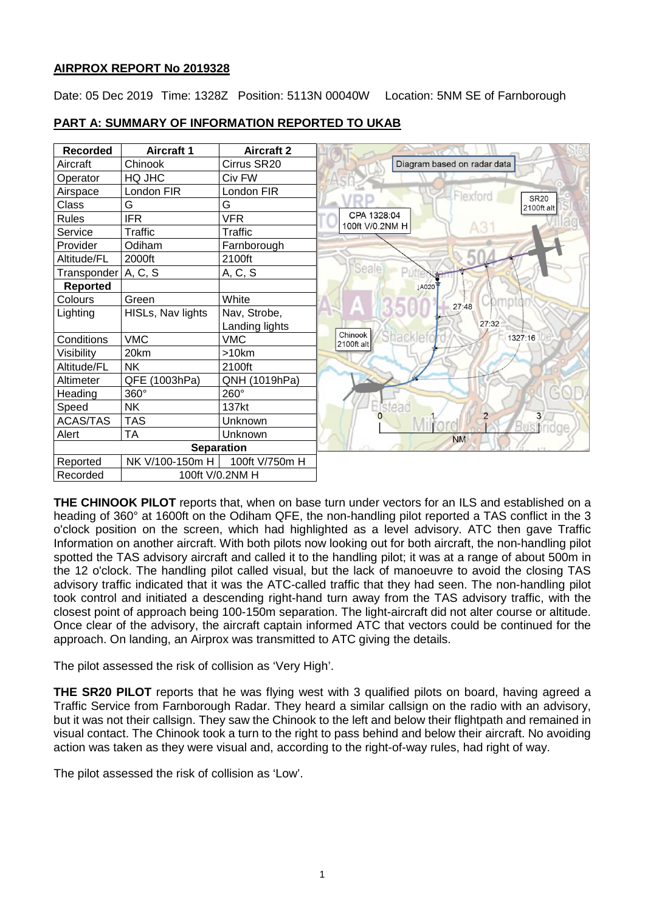# **AIRPROX REPORT No 2019328**

Date: 05 Dec 2019 Time: 1328Z Position: 5113N 00040W Location: 5NM SE of Farnborough

# **PART A: SUMMARY OF INFORMATION REPORTED TO UKAB**



**THE CHINOOK PILOT** reports that, when on base turn under vectors for an ILS and established on a heading of 360° at 1600ft on the Odiham QFE, the non-handling pilot reported a TAS conflict in the 3 o'clock position on the screen, which had highlighted as a level advisory. ATC then gave Traffic Information on another aircraft. With both pilots now looking out for both aircraft, the non-handling pilot spotted the TAS advisory aircraft and called it to the handling pilot; it was at a range of about 500m in the 12 o'clock. The handling pilot called visual, but the lack of manoeuvre to avoid the closing TAS advisory traffic indicated that it was the ATC-called traffic that they had seen. The non-handling pilot took control and initiated a descending right-hand turn away from the TAS advisory traffic, with the closest point of approach being 100-150m separation. The light-aircraft did not alter course or altitude. Once clear of the advisory, the aircraft captain informed ATC that vectors could be continued for the approach. On landing, an Airprox was transmitted to ATC giving the details.

The pilot assessed the risk of collision as 'Very High'.

**THE SR20 PILOT** reports that he was flying west with 3 qualified pilots on board, having agreed a Traffic Service from Farnborough Radar. They heard a similar callsign on the radio with an advisory, but it was not their callsign. They saw the Chinook to the left and below their flightpath and remained in visual contact. The Chinook took a turn to the right to pass behind and below their aircraft. No avoiding action was taken as they were visual and, according to the right-of-way rules, had right of way.

The pilot assessed the risk of collision as 'Low'.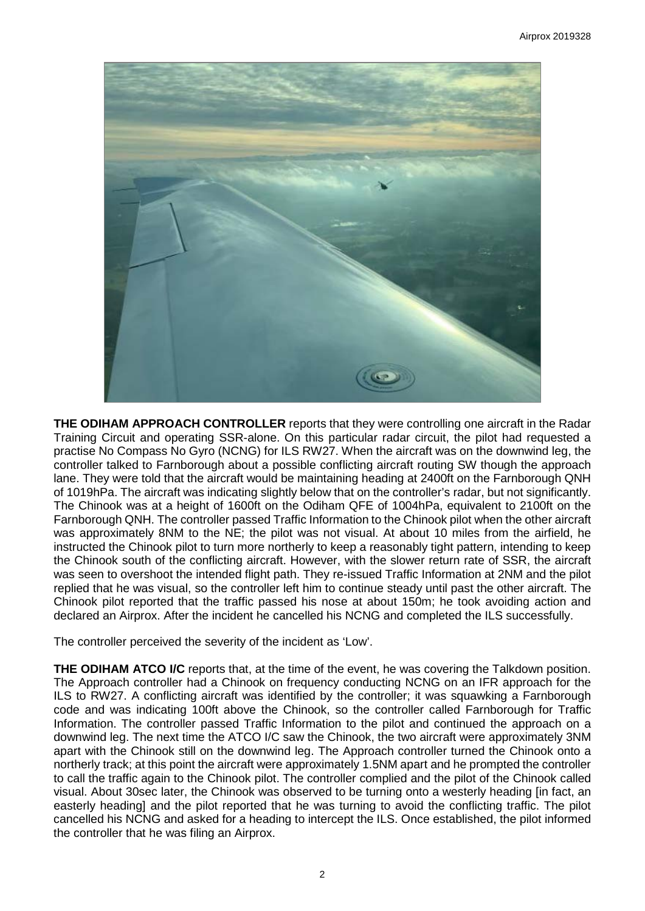

**THE ODIHAM APPROACH CONTROLLER** reports that they were controlling one aircraft in the Radar Training Circuit and operating SSR-alone. On this particular radar circuit, the pilot had requested a practise No Compass No Gyro (NCNG) for ILS RW27. When the aircraft was on the downwind leg, the controller talked to Farnborough about a possible conflicting aircraft routing SW though the approach lane. They were told that the aircraft would be maintaining heading at 2400ft on the Farnborough QNH of 1019hPa. The aircraft was indicating slightly below that on the controller's radar, but not significantly. The Chinook was at a height of 1600ft on the Odiham QFE of 1004hPa, equivalent to 2100ft on the Farnborough QNH. The controller passed Traffic Information to the Chinook pilot when the other aircraft was approximately 8NM to the NE; the pilot was not visual. At about 10 miles from the airfield, he instructed the Chinook pilot to turn more northerly to keep a reasonably tight pattern, intending to keep the Chinook south of the conflicting aircraft. However, with the slower return rate of SSR, the aircraft was seen to overshoot the intended flight path. They re-issued Traffic Information at 2NM and the pilot replied that he was visual, so the controller left him to continue steady until past the other aircraft. The Chinook pilot reported that the traffic passed his nose at about 150m; he took avoiding action and declared an Airprox. After the incident he cancelled his NCNG and completed the ILS successfully.

The controller perceived the severity of the incident as 'Low'.

**THE ODIHAM ATCO I/C** reports that, at the time of the event, he was covering the Talkdown position. The Approach controller had a Chinook on frequency conducting NCNG on an IFR approach for the ILS to RW27. A conflicting aircraft was identified by the controller; it was squawking a Farnborough code and was indicating 100ft above the Chinook, so the controller called Farnborough for Traffic Information. The controller passed Traffic Information to the pilot and continued the approach on a downwind leg. The next time the ATCO I/C saw the Chinook, the two aircraft were approximately 3NM apart with the Chinook still on the downwind leg. The Approach controller turned the Chinook onto a northerly track; at this point the aircraft were approximately 1.5NM apart and he prompted the controller to call the traffic again to the Chinook pilot. The controller complied and the pilot of the Chinook called visual. About 30sec later, the Chinook was observed to be turning onto a westerly heading [in fact, an easterly heading] and the pilot reported that he was turning to avoid the conflicting traffic. The pilot cancelled his NCNG and asked for a heading to intercept the ILS. Once established, the pilot informed the controller that he was filing an Airprox.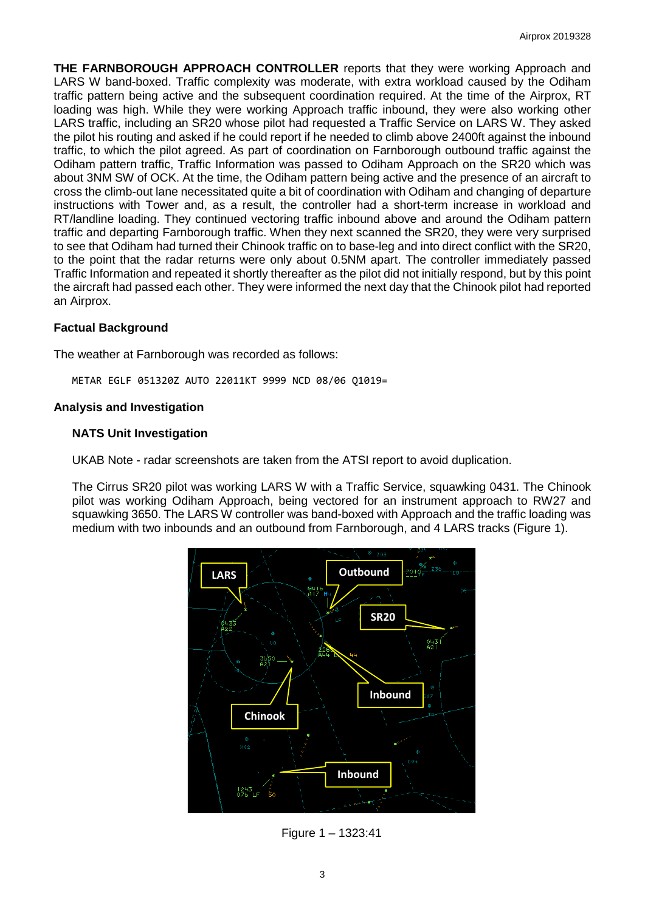**THE FARNBOROUGH APPROACH CONTROLLER** reports that they were working Approach and LARS W band-boxed. Traffic complexity was moderate, with extra workload caused by the Odiham traffic pattern being active and the subsequent coordination required. At the time of the Airprox, RT loading was high. While they were working Approach traffic inbound, they were also working other LARS traffic, including an SR20 whose pilot had requested a Traffic Service on LARS W. They asked the pilot his routing and asked if he could report if he needed to climb above 2400ft against the inbound traffic, to which the pilot agreed. As part of coordination on Farnborough outbound traffic against the Odiham pattern traffic, Traffic Information was passed to Odiham Approach on the SR20 which was about 3NM SW of OCK. At the time, the Odiham pattern being active and the presence of an aircraft to cross the climb-out lane necessitated quite a bit of coordination with Odiham and changing of departure instructions with Tower and, as a result, the controller had a short-term increase in workload and RT/landline loading. They continued vectoring traffic inbound above and around the Odiham pattern traffic and departing Farnborough traffic. When they next scanned the SR20, they were very surprised to see that Odiham had turned their Chinook traffic on to base-leg and into direct conflict with the SR20, to the point that the radar returns were only about 0.5NM apart. The controller immediately passed Traffic Information and repeated it shortly thereafter as the pilot did not initially respond, but by this point the aircraft had passed each other. They were informed the next day that the Chinook pilot had reported an Airprox.

#### **Factual Background**

The weather at Farnborough was recorded as follows:

METAR EGLF 051320Z AUTO 22011KT 9999 NCD 08/06 Q1019=

#### **Analysis and Investigation**

#### **NATS Unit Investigation**

UKAB Note - radar screenshots are taken from the ATSI report to avoid duplication.

The Cirrus SR20 pilot was working LARS W with a Traffic Service, squawking 0431. The Chinook pilot was working Odiham Approach, being vectored for an instrument approach to RW27 and squawking 3650. The LARS W controller was band-boxed with Approach and the traffic loading was medium with two inbounds and an outbound from Farnborough, and 4 LARS tracks (Figure 1).



Figure 1 – 1323:41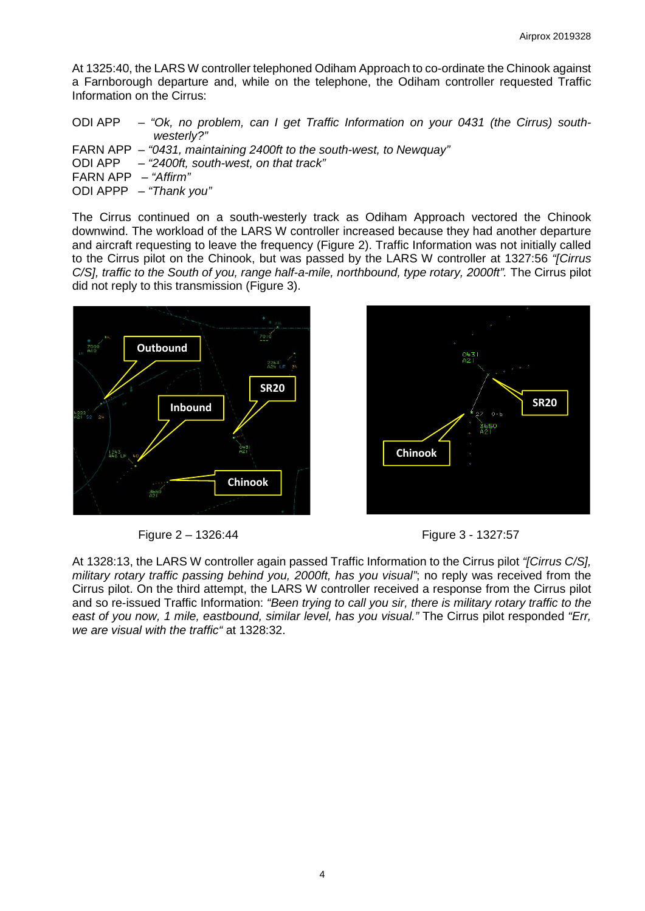At 1325:40, the LARS W controller telephoned Odiham Approach to co-ordinate the Chinook against a Farnborough departure and, while on the telephone, the Odiham controller requested Traffic Information on the Cirrus:

|                       | ODI APP – "Ok, no problem, can I get Traffic Information on your 0431 (the Cirrus) south-<br>westerly?" |
|-----------------------|---------------------------------------------------------------------------------------------------------|
|                       |                                                                                                         |
|                       | FARN APP – "0431, maintaining 2400ft to the south-west, to Newquay"                                     |
|                       | ODI APP - "2400ft, south-west, on that track"                                                           |
| FARN APP $-$ "Affirm" |                                                                                                         |
|                       | ODI APPP $-$ "Thank you"                                                                                |

The Cirrus continued on a south-westerly track as Odiham Approach vectored the Chinook downwind. The workload of the LARS W controller increased because they had another departure and aircraft requesting to leave the frequency (Figure 2). Traffic Information was not initially called to the Cirrus pilot on the Chinook, but was passed by the LARS W controller at 1327:56 *"[Cirrus C/S], traffic to the South of you, range half-a-mile, northbound, type rotary, 2000ft".* The Cirrus pilot did not reply to this transmission (Figure 3).



Figure 2 – 1326:44 Figure 3 - 1327:57



At 1328:13, the LARS W controller again passed Traffic Information to the Cirrus pilot *"[Cirrus C/S], military rotary traffic passing behind you, 2000ft, has you visual"*; no reply was received from the Cirrus pilot. On the third attempt, the LARS W controller received a response from the Cirrus pilot and so re-issued Traffic Information: *"Been trying to call you sir, there is military rotary traffic to the east of you now, 1 mile, eastbound, similar level, has you visual."* The Cirrus pilot responded *"Err, we are visual with the traffic"* at 1328:32.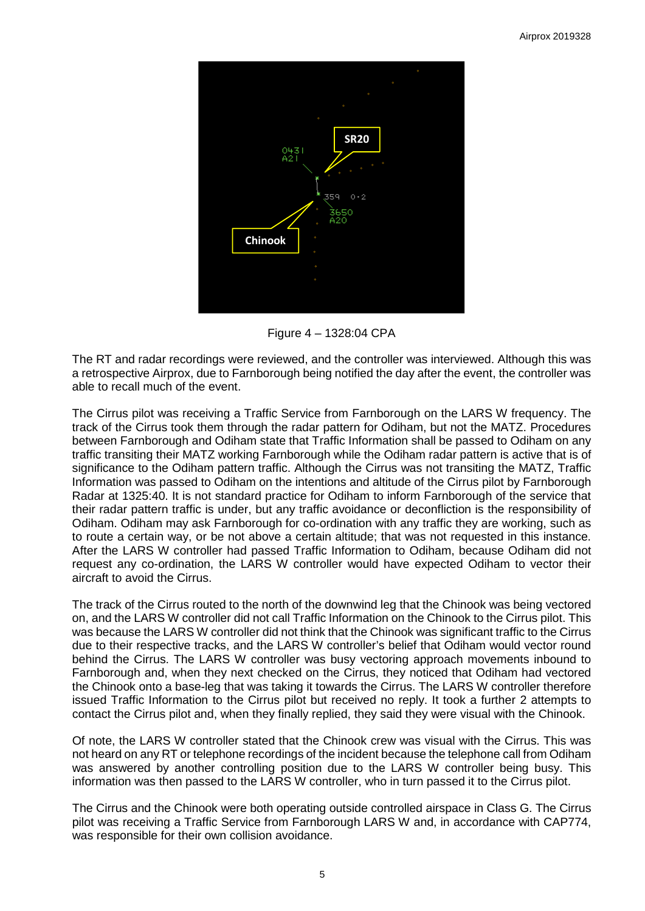

Figure 4 – 1328:04 CPA

The RT and radar recordings were reviewed, and the controller was interviewed. Although this was a retrospective Airprox, due to Farnborough being notified the day after the event, the controller was able to recall much of the event.

The Cirrus pilot was receiving a Traffic Service from Farnborough on the LARS W frequency. The track of the Cirrus took them through the radar pattern for Odiham, but not the MATZ. Procedures between Farnborough and Odiham state that Traffic Information shall be passed to Odiham on any traffic transiting their MATZ working Farnborough while the Odiham radar pattern is active that is of significance to the Odiham pattern traffic. Although the Cirrus was not transiting the MATZ, Traffic Information was passed to Odiham on the intentions and altitude of the Cirrus pilot by Farnborough Radar at 1325:40. It is not standard practice for Odiham to inform Farnborough of the service that their radar pattern traffic is under, but any traffic avoidance or deconfliction is the responsibility of Odiham. Odiham may ask Farnborough for co-ordination with any traffic they are working, such as to route a certain way, or be not above a certain altitude; that was not requested in this instance. After the LARS W controller had passed Traffic Information to Odiham, because Odiham did not request any co-ordination, the LARS W controller would have expected Odiham to vector their aircraft to avoid the Cirrus.

The track of the Cirrus routed to the north of the downwind leg that the Chinook was being vectored on, and the LARS W controller did not call Traffic Information on the Chinook to the Cirrus pilot. This was because the LARS W controller did not think that the Chinook was significant traffic to the Cirrus due to their respective tracks, and the LARS W controller's belief that Odiham would vector round behind the Cirrus. The LARS W controller was busy vectoring approach movements inbound to Farnborough and, when they next checked on the Cirrus, they noticed that Odiham had vectored the Chinook onto a base-leg that was taking it towards the Cirrus. The LARS W controller therefore issued Traffic Information to the Cirrus pilot but received no reply. It took a further 2 attempts to contact the Cirrus pilot and, when they finally replied, they said they were visual with the Chinook.

Of note, the LARS W controller stated that the Chinook crew was visual with the Cirrus. This was not heard on any RT or telephone recordings of the incident because the telephone call from Odiham was answered by another controlling position due to the LARS W controller being busy. This information was then passed to the LARS W controller, who in turn passed it to the Cirrus pilot.

The Cirrus and the Chinook were both operating outside controlled airspace in Class G. The Cirrus pilot was receiving a Traffic Service from Farnborough LARS W and, in accordance with CAP774, was responsible for their own collision avoidance.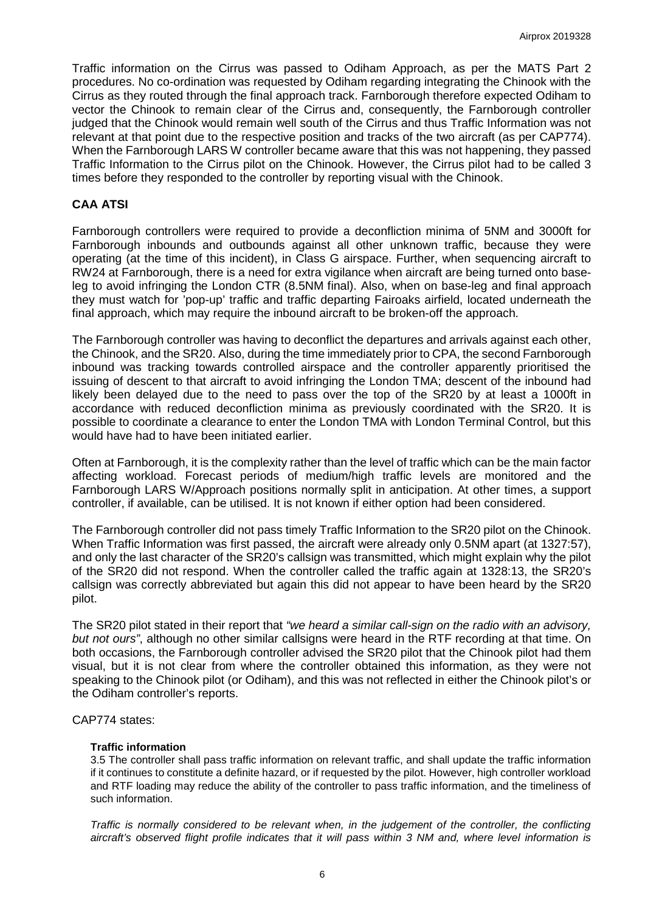Traffic information on the Cirrus was passed to Odiham Approach, as per the MATS Part 2 procedures. No co-ordination was requested by Odiham regarding integrating the Chinook with the Cirrus as they routed through the final approach track. Farnborough therefore expected Odiham to vector the Chinook to remain clear of the Cirrus and, consequently, the Farnborough controller judged that the Chinook would remain well south of the Cirrus and thus Traffic Information was not relevant at that point due to the respective position and tracks of the two aircraft (as per CAP774). When the Farnborough LARS W controller became aware that this was not happening, they passed Traffic Information to the Cirrus pilot on the Chinook. However, the Cirrus pilot had to be called 3 times before they responded to the controller by reporting visual with the Chinook.

#### **CAA ATSI**

Farnborough controllers were required to provide a deconfliction minima of 5NM and 3000ft for Farnborough inbounds and outbounds against all other unknown traffic, because they were operating (at the time of this incident), in Class G airspace. Further, when sequencing aircraft to RW24 at Farnborough, there is a need for extra vigilance when aircraft are being turned onto baseleg to avoid infringing the London CTR (8.5NM final). Also, when on base-leg and final approach they must watch for 'pop-up' traffic and traffic departing Fairoaks airfield, located underneath the final approach, which may require the inbound aircraft to be broken-off the approach.

The Farnborough controller was having to deconflict the departures and arrivals against each other, the Chinook, and the SR20. Also, during the time immediately prior to CPA, the second Farnborough inbound was tracking towards controlled airspace and the controller apparently prioritised the issuing of descent to that aircraft to avoid infringing the London TMA; descent of the inbound had likely been delayed due to the need to pass over the top of the SR20 by at least a 1000ft in accordance with reduced deconfliction minima as previously coordinated with the SR20. It is possible to coordinate a clearance to enter the London TMA with London Terminal Control, but this would have had to have been initiated earlier.

Often at Farnborough, it is the complexity rather than the level of traffic which can be the main factor affecting workload. Forecast periods of medium/high traffic levels are monitored and the Farnborough LARS W/Approach positions normally split in anticipation. At other times, a support controller, if available, can be utilised. It is not known if either option had been considered.

The Farnborough controller did not pass timely Traffic Information to the SR20 pilot on the Chinook. When Traffic Information was first passed, the aircraft were already only 0.5NM apart (at 1327:57), and only the last character of the SR20's callsign was transmitted, which might explain why the pilot of the SR20 did not respond. When the controller called the traffic again at 1328:13, the SR20's callsign was correctly abbreviated but again this did not appear to have been heard by the SR20 pilot.

The SR20 pilot stated in their report that *"we heard a similar call-sign on the radio with an advisory, but not ours"*, although no other similar callsigns were heard in the RTF recording at that time. On both occasions, the Farnborough controller advised the SR20 pilot that the Chinook pilot had them visual, but it is not clear from where the controller obtained this information, as they were not speaking to the Chinook pilot (or Odiham), and this was not reflected in either the Chinook pilot's or the Odiham controller's reports.

#### CAP774 states:

#### **Traffic information**

3.5 The controller shall pass traffic information on relevant traffic, and shall update the traffic information if it continues to constitute a definite hazard, or if requested by the pilot. However, high controller workload and RTF loading may reduce the ability of the controller to pass traffic information, and the timeliness of such information.

*Traffic is normally considered to be relevant when, in the judgement of the controller, the conflicting aircraft's observed flight profile indicates that it will pass within 3 NM and, where level information is*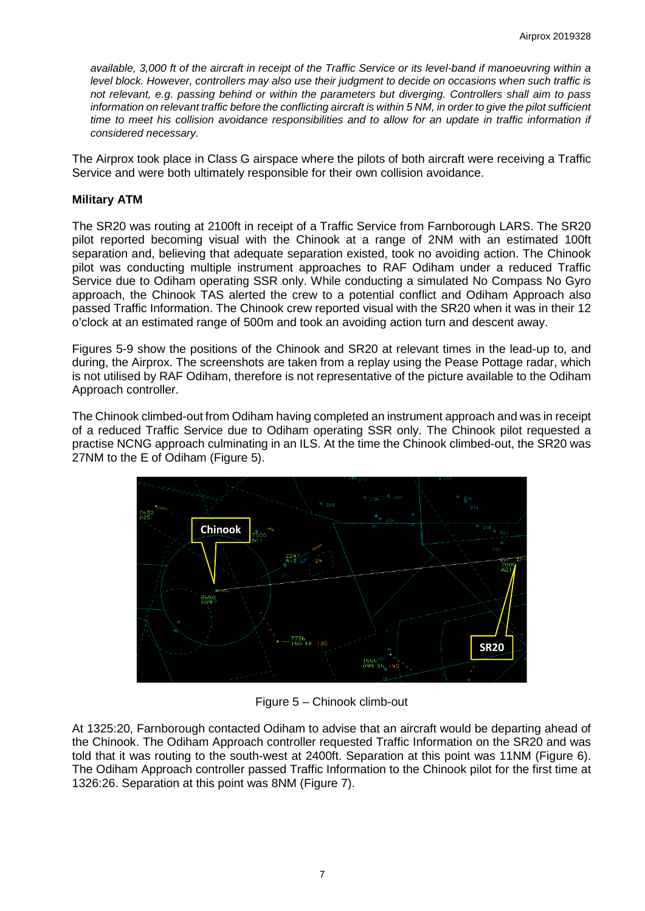*available, 3,000 ft of the aircraft in receipt of the Traffic Service or its level-band if manoeuvring within a level block. However, controllers may also use their judgment to decide on occasions when such traffic is not relevant, e.g. passing behind or within the parameters but diverging. Controllers shall aim to pass information on relevant traffic before the conflicting aircraft is within 5 NM, in order to give the pilot sufficient time to meet his collision avoidance responsibilities and to allow for an update in traffic information if considered necessary.* 

The Airprox took place in Class G airspace where the pilots of both aircraft were receiving a Traffic Service and were both ultimately responsible for their own collision avoidance.

# **Military ATM**

The SR20 was routing at 2100ft in receipt of a Traffic Service from Farnborough LARS. The SR20 pilot reported becoming visual with the Chinook at a range of 2NM with an estimated 100ft separation and, believing that adequate separation existed, took no avoiding action. The Chinook pilot was conducting multiple instrument approaches to RAF Odiham under a reduced Traffic Service due to Odiham operating SSR only. While conducting a simulated No Compass No Gyro approach, the Chinook TAS alerted the crew to a potential conflict and Odiham Approach also passed Traffic Information. The Chinook crew reported visual with the SR20 when it was in their 12 o'clock at an estimated range of 500m and took an avoiding action turn and descent away.

Figures 5-9 show the positions of the Chinook and SR20 at relevant times in the lead-up to, and during, the Airprox. The screenshots are taken from a replay using the Pease Pottage radar, which is not utilised by RAF Odiham, therefore is not representative of the picture available to the Odiham Approach controller.

The Chinook climbed-out from Odiham having completed an instrument approach and was in receipt of a reduced Traffic Service due to Odiham operating SSR only. The Chinook pilot requested a practise NCNG approach culminating in an ILS. At the time the Chinook climbed-out, the SR20 was 27NM to the E of Odiham (Figure 5).



Figure 5 – Chinook climb-out

At 1325:20, Farnborough contacted Odiham to advise that an aircraft would be departing ahead of the Chinook. The Odiham Approach controller requested Traffic Information on the SR20 and was told that it was routing to the south-west at 2400ft. Separation at this point was 11NM (Figure 6). The Odiham Approach controller passed Traffic Information to the Chinook pilot for the first time at 1326:26. Separation at this point was 8NM (Figure 7).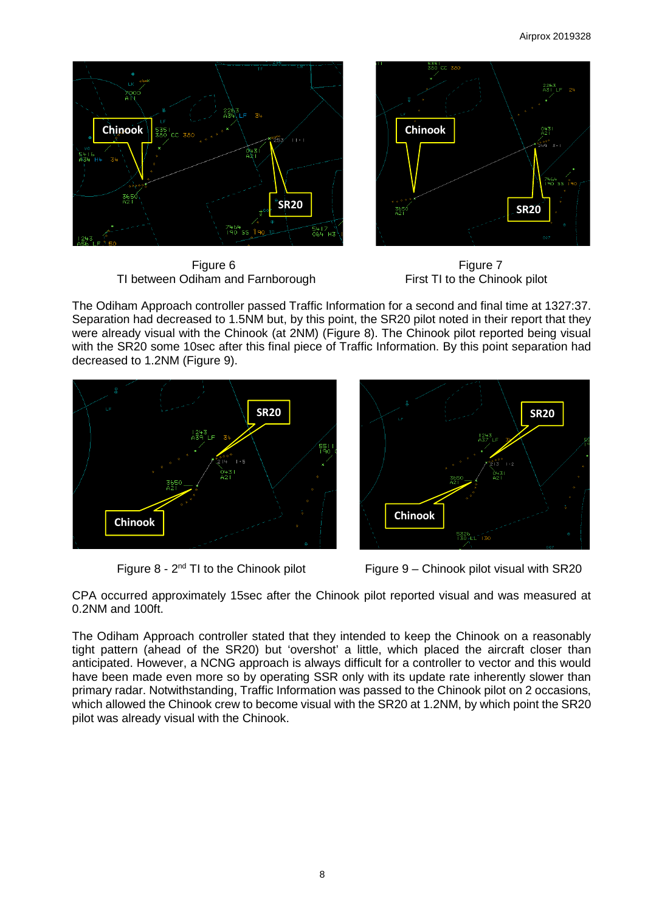

TI between Odiham and Farnborough



The Odiham Approach controller passed Traffic Information for a second and final time at 1327:37. Separation had decreased to 1.5NM but, by this point, the SR20 pilot noted in their report that they were already visual with the Chinook (at 2NM) (Figure 8). The Chinook pilot reported being visual with the SR20 some 10sec after this final piece of Traffic Information. By this point separation had decreased to 1.2NM (Figure 9).





Figure  $8 - 2^{nd}$  TI to the Chinook pilot Figure 9 – Chinook pilot visual with SR20

CPA occurred approximately 15sec after the Chinook pilot reported visual and was measured at 0.2NM and 100ft.

The Odiham Approach controller stated that they intended to keep the Chinook on a reasonably tight pattern (ahead of the SR20) but 'overshot' a little, which placed the aircraft closer than anticipated. However, a NCNG approach is always difficult for a controller to vector and this would have been made even more so by operating SSR only with its update rate inherently slower than primary radar. Notwithstanding, Traffic Information was passed to the Chinook pilot on 2 occasions, which allowed the Chinook crew to become visual with the SR20 at 1.2NM, by which point the SR20 pilot was already visual with the Chinook.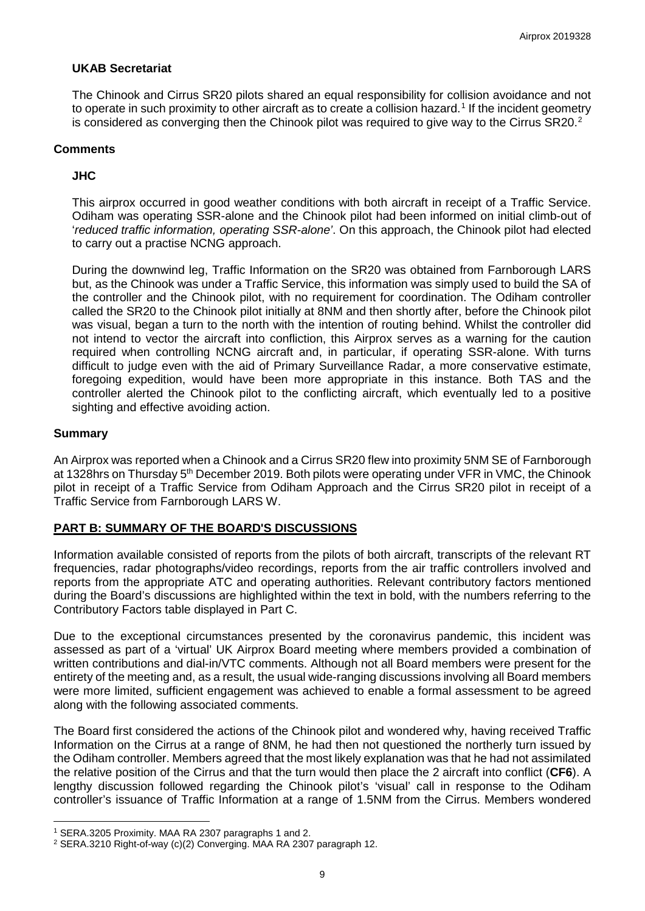# **UKAB Secretariat**

The Chinook and Cirrus SR20 pilots shared an equal responsibility for collision avoidance and not to operate in such proximity to other aircraft as to create a collision hazard. [1](#page-8-0) If the incident geometry is considered as converging then the Chinook pilot was required to give way to the Cirrus SR[2](#page-8-1)0.<sup>2</sup>

#### **Comments**

# **JHC**

This airprox occurred in good weather conditions with both aircraft in receipt of a Traffic Service. Odiham was operating SSR-alone and the Chinook pilot had been informed on initial climb-out of '*reduced traffic information, operating SSR-alone'*. On this approach, the Chinook pilot had elected to carry out a practise NCNG approach.

During the downwind leg, Traffic Information on the SR20 was obtained from Farnborough LARS but, as the Chinook was under a Traffic Service, this information was simply used to build the SA of the controller and the Chinook pilot, with no requirement for coordination. The Odiham controller called the SR20 to the Chinook pilot initially at 8NM and then shortly after, before the Chinook pilot was visual, began a turn to the north with the intention of routing behind. Whilst the controller did not intend to vector the aircraft into confliction, this Airprox serves as a warning for the caution required when controlling NCNG aircraft and, in particular, if operating SSR-alone. With turns difficult to judge even with the aid of Primary Surveillance Radar, a more conservative estimate, foregoing expedition, would have been more appropriate in this instance. Both TAS and the controller alerted the Chinook pilot to the conflicting aircraft, which eventually led to a positive sighting and effective avoiding action.

#### **Summary**

 $\overline{\phantom{a}}$ 

An Airprox was reported when a Chinook and a Cirrus SR20 flew into proximity 5NM SE of Farnborough at 1328hrs on Thursday 5<sup>th</sup> December 2019. Both pilots were operating under VFR in VMC, the Chinook pilot in receipt of a Traffic Service from Odiham Approach and the Cirrus SR20 pilot in receipt of a Traffic Service from Farnborough LARS W.

# **PART B: SUMMARY OF THE BOARD'S DISCUSSIONS**

Information available consisted of reports from the pilots of both aircraft, transcripts of the relevant RT frequencies, radar photographs/video recordings, reports from the air traffic controllers involved and reports from the appropriate ATC and operating authorities. Relevant contributory factors mentioned during the Board's discussions are highlighted within the text in bold, with the numbers referring to the Contributory Factors table displayed in Part C.

Due to the exceptional circumstances presented by the coronavirus pandemic, this incident was assessed as part of a 'virtual' UK Airprox Board meeting where members provided a combination of written contributions and dial-in/VTC comments. Although not all Board members were present for the entirety of the meeting and, as a result, the usual wide-ranging discussions involving all Board members were more limited, sufficient engagement was achieved to enable a formal assessment to be agreed along with the following associated comments.

The Board first considered the actions of the Chinook pilot and wondered why, having received Traffic Information on the Cirrus at a range of 8NM, he had then not questioned the northerly turn issued by the Odiham controller. Members agreed that the most likely explanation was that he had not assimilated the relative position of the Cirrus and that the turn would then place the 2 aircraft into conflict (**CF6**). A lengthy discussion followed regarding the Chinook pilot's 'visual' call in response to the Odiham controller's issuance of Traffic Information at a range of 1.5NM from the Cirrus. Members wondered

<span id="page-8-0"></span><sup>1</sup> SERA.3205 Proximity. MAA RA 2307 paragraphs 1 and 2.

<span id="page-8-1"></span><sup>2</sup> SERA.3210 Right-of-way (c)(2) Converging. MAA RA 2307 paragraph 12.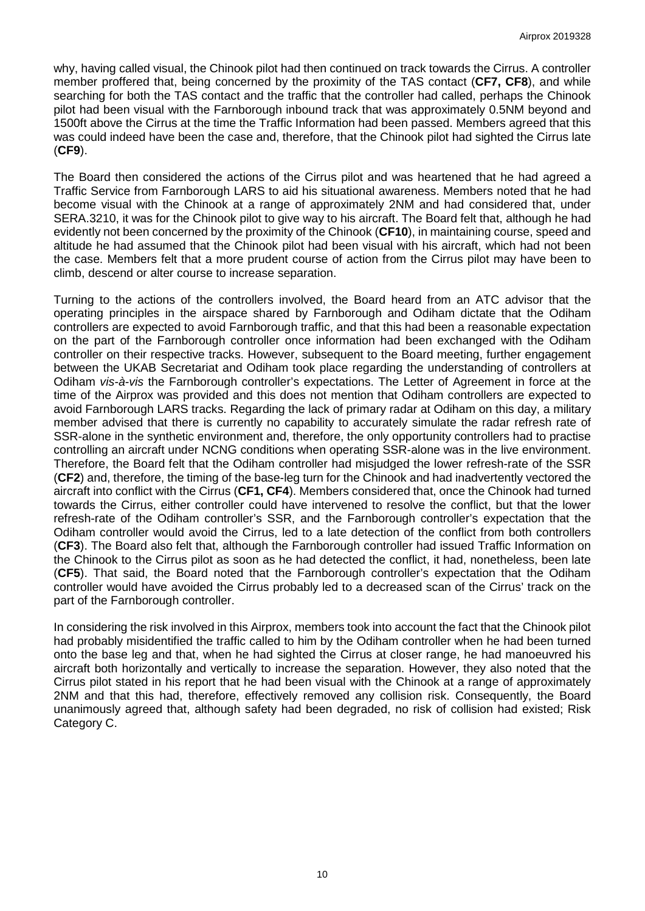why, having called visual, the Chinook pilot had then continued on track towards the Cirrus. A controller member proffered that, being concerned by the proximity of the TAS contact (**CF7, CF8**), and while searching for both the TAS contact and the traffic that the controller had called, perhaps the Chinook pilot had been visual with the Farnborough inbound track that was approximately 0.5NM beyond and 1500ft above the Cirrus at the time the Traffic Information had been passed. Members agreed that this was could indeed have been the case and, therefore, that the Chinook pilot had sighted the Cirrus late (**CF9**).

The Board then considered the actions of the Cirrus pilot and was heartened that he had agreed a Traffic Service from Farnborough LARS to aid his situational awareness. Members noted that he had become visual with the Chinook at a range of approximately 2NM and had considered that, under SERA.3210, it was for the Chinook pilot to give way to his aircraft. The Board felt that, although he had evidently not been concerned by the proximity of the Chinook (**CF10**), in maintaining course, speed and altitude he had assumed that the Chinook pilot had been visual with his aircraft, which had not been the case. Members felt that a more prudent course of action from the Cirrus pilot may have been to climb, descend or alter course to increase separation.

Turning to the actions of the controllers involved, the Board heard from an ATC advisor that the operating principles in the airspace shared by Farnborough and Odiham dictate that the Odiham controllers are expected to avoid Farnborough traffic, and that this had been a reasonable expectation on the part of the Farnborough controller once information had been exchanged with the Odiham controller on their respective tracks. However, subsequent to the Board meeting, further engagement between the UKAB Secretariat and Odiham took place regarding the understanding of controllers at Odiham *vis-à-vis* the Farnborough controller's expectations. The Letter of Agreement in force at the time of the Airprox was provided and this does not mention that Odiham controllers are expected to avoid Farnborough LARS tracks. Regarding the lack of primary radar at Odiham on this day, a military member advised that there is currently no capability to accurately simulate the radar refresh rate of SSR-alone in the synthetic environment and, therefore, the only opportunity controllers had to practise controlling an aircraft under NCNG conditions when operating SSR-alone was in the live environment. Therefore, the Board felt that the Odiham controller had misjudged the lower refresh-rate of the SSR (**CF2**) and, therefore, the timing of the base-leg turn for the Chinook and had inadvertently vectored the aircraft into conflict with the Cirrus (**CF1, CF4**). Members considered that, once the Chinook had turned towards the Cirrus, either controller could have intervened to resolve the conflict, but that the lower refresh-rate of the Odiham controller's SSR, and the Farnborough controller's expectation that the Odiham controller would avoid the Cirrus, led to a late detection of the conflict from both controllers (**CF3**). The Board also felt that, although the Farnborough controller had issued Traffic Information on the Chinook to the Cirrus pilot as soon as he had detected the conflict, it had, nonetheless, been late (**CF5**). That said, the Board noted that the Farnborough controller's expectation that the Odiham controller would have avoided the Cirrus probably led to a decreased scan of the Cirrus' track on the part of the Farnborough controller.

In considering the risk involved in this Airprox, members took into account the fact that the Chinook pilot had probably misidentified the traffic called to him by the Odiham controller when he had been turned onto the base leg and that, when he had sighted the Cirrus at closer range, he had manoeuvred his aircraft both horizontally and vertically to increase the separation. However, they also noted that the Cirrus pilot stated in his report that he had been visual with the Chinook at a range of approximately 2NM and that this had, therefore, effectively removed any collision risk. Consequently, the Board unanimously agreed that, although safety had been degraded, no risk of collision had existed; Risk Category C.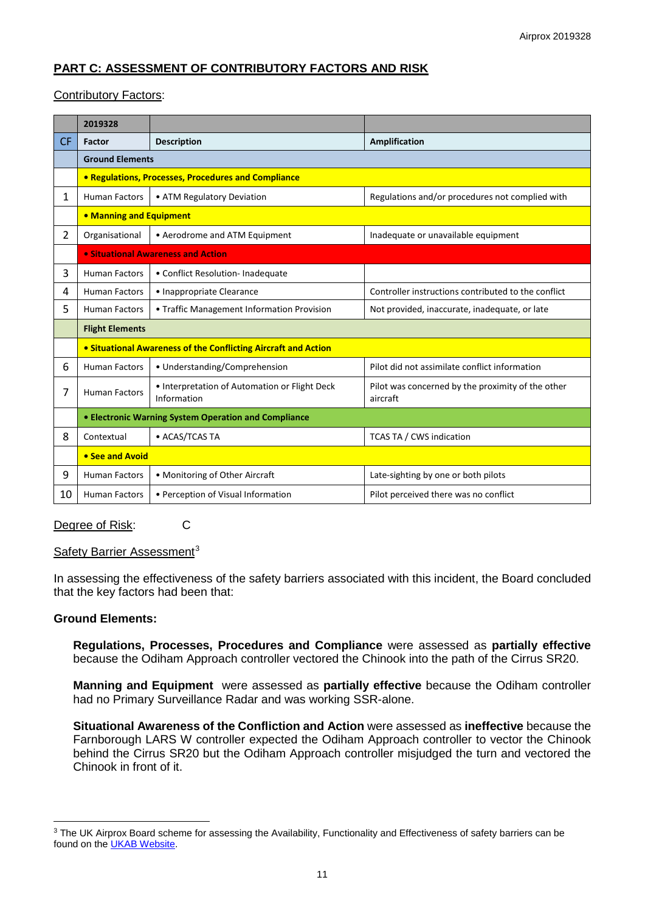# **PART C: ASSESSMENT OF CONTRIBUTORY FACTORS AND RISK**

# Contributory Factors:

|                | 2019328                                                                              |                                                            |                                                               |  |  |  |  |  |  |
|----------------|--------------------------------------------------------------------------------------|------------------------------------------------------------|---------------------------------------------------------------|--|--|--|--|--|--|
| <b>CF</b>      | Factor                                                                               | <b>Description</b>                                         | Amplification                                                 |  |  |  |  |  |  |
|                | <b>Ground Elements</b>                                                               |                                                            |                                                               |  |  |  |  |  |  |
|                |                                                                                      | <b>• Regulations, Processes, Procedures and Compliance</b> |                                                               |  |  |  |  |  |  |
| $\mathbf{1}$   | <b>Human Factors</b>                                                                 | • ATM Regulatory Deviation                                 | Regulations and/or procedures not complied with               |  |  |  |  |  |  |
|                | • Manning and Equipment                                                              |                                                            |                                                               |  |  |  |  |  |  |
| $\overline{2}$ | Organisational                                                                       | • Aerodrome and ATM Equipment                              | Inadequate or unavailable equipment                           |  |  |  |  |  |  |
|                | • Situational Awareness and Action                                                   |                                                            |                                                               |  |  |  |  |  |  |
| 3              | <b>Human Factors</b>                                                                 | • Conflict Resolution- Inadequate                          |                                                               |  |  |  |  |  |  |
| 4              | <b>Human Factors</b>                                                                 | • Inappropriate Clearance                                  | Controller instructions contributed to the conflict           |  |  |  |  |  |  |
| 5              | <b>Human Factors</b>                                                                 | • Traffic Management Information Provision                 | Not provided, inaccurate, inadequate, or late                 |  |  |  |  |  |  |
|                | <b>Flight Elements</b>                                                               |                                                            |                                                               |  |  |  |  |  |  |
|                | • Situational Awareness of the Conflicting Aircraft and Action                       |                                                            |                                                               |  |  |  |  |  |  |
| 6              | <b>Human Factors</b>                                                                 | • Understanding/Comprehension                              | Pilot did not assimilate conflict information                 |  |  |  |  |  |  |
| 7              | • Interpretation of Automation or Flight Deck<br><b>Human Factors</b><br>Information |                                                            | Pilot was concerned by the proximity of the other<br>aircraft |  |  |  |  |  |  |
|                | • Electronic Warning System Operation and Compliance                                 |                                                            |                                                               |  |  |  |  |  |  |
| 8              | Contextual                                                                           | • ACAS/TCAS TA                                             | <b>TCAS TA / CWS indication</b>                               |  |  |  |  |  |  |
|                | • See and Avoid                                                                      |                                                            |                                                               |  |  |  |  |  |  |
| 9              | <b>Human Factors</b>                                                                 | • Monitoring of Other Aircraft                             | Late-sighting by one or both pilots                           |  |  |  |  |  |  |
| 10             | <b>Human Factors</b>                                                                 | • Perception of Visual Information                         | Pilot perceived there was no conflict                         |  |  |  |  |  |  |

#### Degree of Risk: C

#### Safety Barrier Assessment<sup>[3](#page-10-0)</sup>

In assessing the effectiveness of the safety barriers associated with this incident, the Board concluded that the key factors had been that:

# **Ground Elements:**

 $\overline{\phantom{a}}$ 

**Regulations, Processes, Procedures and Compliance** were assessed as **partially effective** because the Odiham Approach controller vectored the Chinook into the path of the Cirrus SR20.

**Manning and Equipment** were assessed as **partially effective** because the Odiham controller had no Primary Surveillance Radar and was working SSR-alone.

**Situational Awareness of the Confliction and Action** were assessed as **ineffective** because the Farnborough LARS W controller expected the Odiham Approach controller to vector the Chinook behind the Cirrus SR20 but the Odiham Approach controller misjudged the turn and vectored the Chinook in front of it.

<span id="page-10-0"></span><sup>&</sup>lt;sup>3</sup> The UK Airprox Board scheme for assessing the Availability, Functionality and Effectiveness of safety barriers can be found on the [UKAB Website.](http://www.airproxboard.org.uk/Learn-more/Airprox-Barrier-Assessment/)